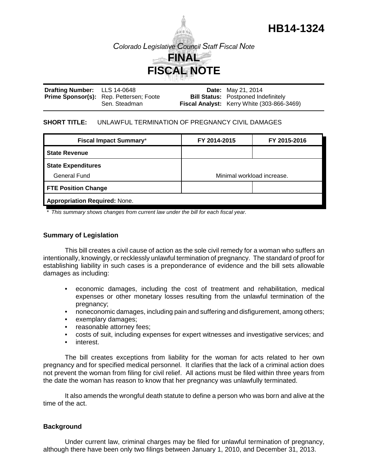

| Drafting Number: LLS 14-0648 |                                                | <b>Date:</b> May 21, 2014                         |
|------------------------------|------------------------------------------------|---------------------------------------------------|
|                              | <b>Prime Sponsor(s):</b> Rep. Pettersen; Foote | <b>Bill Status:</b> Postponed Indefinitely        |
|                              | Sen. Steadman                                  | <b>Fiscal Analyst:</b> Kerry White (303-866-3469) |

## **SHORT TITLE:** UNLAWFUL TERMINATION OF PREGNANCY CIVIL DAMAGES

| <b>Fiscal Impact Summary*</b>        | FY 2014-2015               | FY 2015-2016 |  |  |  |
|--------------------------------------|----------------------------|--------------|--|--|--|
| <b>State Revenue</b>                 |                            |              |  |  |  |
| <b>State Expenditures</b>            |                            |              |  |  |  |
| General Fund                         | Minimal workload increase. |              |  |  |  |
| <b>FTE Position Change</b>           |                            |              |  |  |  |
| <b>Appropriation Required: None.</b> |                            |              |  |  |  |

*\* This summary shows changes from current law under the bill for each fiscal year.* 

# **Summary of Legislation**

This bill creates a civil cause of action as the sole civil remedy for a woman who suffers an intentionally, knowingly, or recklessly unlawful termination of pregnancy. The standard of proof for establishing liability in such cases is a preponderance of evidence and the bill sets allowable damages as including:

- economic damages, including the cost of treatment and rehabilitation, medical expenses or other monetary losses resulting from the unlawful termination of the pregnancy;
- noneconomic damages, including pain and suffering and disfigurement, among others;
- exemplary damages;
- reasonable attorney fees;
- costs of suit, including expenses for expert witnesses and investigative services; and
- interest.

The bill creates exceptions from liability for the woman for acts related to her own pregnancy and for specified medical personnel. It clarifies that the lack of a criminal action does not prevent the woman from filing for civil relief. All actions must be filed within three years from the date the woman has reason to know that her pregnancy was unlawfully terminated.

It also amends the wrongful death statute to define a person who was born and alive at the time of the act.

# **Background**

Under current law, criminal charges may be filed for unlawful termination of pregnancy, although there have been only two filings between January 1, 2010, and December 31, 2013.